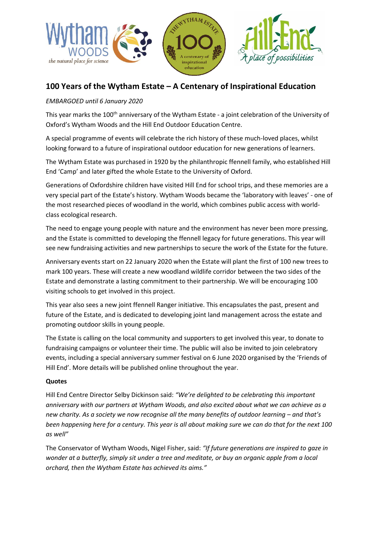

# **100 Years of the Wytham Estate – A Centenary of Inspirational Education**

### *EMBARGOED until 6 January 2020*

This year marks the 100<sup>th</sup> anniversary of the Wytham Estate - a joint celebration of the University of Oxford's Wytham Woods and the Hill End Outdoor Education Centre.

A special programme of events will celebrate the rich history of these much-loved places, whilst looking forward to a future of inspirational outdoor education for new generations of learners.

The Wytham Estate was purchased in 1920 by the philanthropic ffennell family, who established Hill End 'Camp' and later gifted the whole Estate to the University of Oxford.

Generations of Oxfordshire children have visited Hill End for school trips, and these memories are a very special part of the Estate's history. Wytham Woods became the 'laboratory with leaves' - one of the most researched pieces of woodland in the world, which combines public access with worldclass ecological research.

The need to engage young people with nature and the environment has never been more pressing, and the Estate is committed to developing the ffennell legacy for future generations. This year will see new fundraising activities and new partnerships to secure the work of the Estate for the future.

Anniversary events start on 22 January 2020 when the Estate will plant the first of 100 new trees to mark 100 years. These will create a new woodland wildlife corridor between the two sides of the Estate and demonstrate a lasting commitment to their partnership. We will be encouraging 100 visiting schools to get involved in this project.

This year also sees a new joint ffennell Ranger initiative. This encapsulates the past, present and future of the Estate, and is dedicated to developing joint land management across the estate and promoting outdoor skills in young people.

The Estate is calling on the local community and supporters to get involved this year, to donate to fundraising campaigns or volunteer their time. The public will also be invited to join celebratory events, including a special anniversary summer festival on 6 June 2020 organised by the 'Friends of Hill End'. More details will be published online throughout the year.

#### **Quotes**

Hill End Centre Director Selby Dickinson said: *"We're delighted to be celebrating this important anniversary with our partners at Wytham Woods, and also excited about what we can achieve as a new charity. As a society we now recognise all the many benefits of outdoor learning – and that's been happening here for a century. This year is all about making sure we can do that for the next 100 as well"*

The Conservator of Wytham Woods, Nigel Fisher, said: *"If future generations are inspired to gaze in wonder at a butterfly, simply sit under a tree and meditate, or buy an organic apple from a local orchard, then the Wytham Estate has achieved its aims."*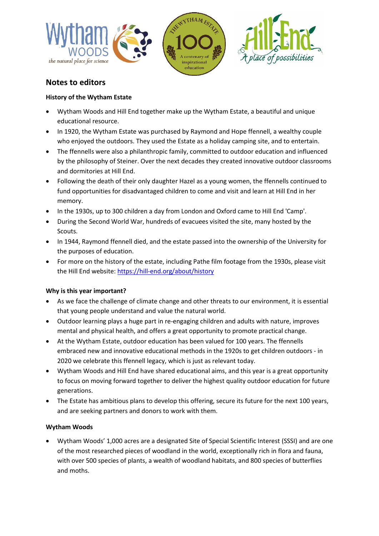

# **Notes to editors**

### **History of the Wytham Estate**

- Wytham Woods and Hill End together make up the Wytham Estate, a beautiful and unique educational resource.
- In 1920, the Wytham Estate was purchased by Raymond and Hope ffennell, a wealthy couple who enjoyed the outdoors. They used the Estate as a holiday camping site, and to entertain.
- The ffennells were also a philanthropic family, committed to outdoor education and influenced by the philosophy of Steiner. Over the next decades they created innovative outdoor classrooms and dormitories at Hill End.
- Following the death of their only daughter Hazel as a young women, the ffennells continued to fund opportunities for disadvantaged children to come and visit and learn at Hill End in her memory.
- In the 1930s, up to 300 children a day from London and Oxford came to Hill End 'Camp'.
- During the Second World War, hundreds of evacuees visited the site, many hosted by the Scouts.
- In 1944, Raymond ffennell died, and the estate passed into the ownership of the University for the purposes of education.
- For more on the history of the estate, including Pathe film footage from the 1930s, please visit the Hill End website:<https://hill-end.org/about/history>

## **Why is this year important?**

- As we face the challenge of climate change and other threats to our environment, it is essential that young people understand and value the natural world.
- Outdoor learning plays a huge part in re-engaging children and adults with nature, improves mental and physical health, and offers a great opportunity to promote practical change.
- At the Wytham Estate, outdoor education has been valued for 100 years. The ffennells embraced new and innovative educational methods in the 1920s to get children outdoors - in 2020 we celebrate this ffennell legacy, which is just as relevant today.
- Wytham Woods and Hill End have shared educational aims, and this year is a great opportunity to focus on moving forward together to deliver the highest quality outdoor education for future generations.
- The Estate has ambitious plans to develop this offering, secure its future for the next 100 years, and are seeking partners and donors to work with them.

## **Wytham Woods**

 Wytham Woods' 1,000 acres are a designated Site of Special Scientific Interest (SSSI) and are one of the most researched pieces of woodland in the world, exceptionally rich in flora and fauna, with over 500 species of plants, a wealth of woodland habitats, and 800 species of butterflies and moths.